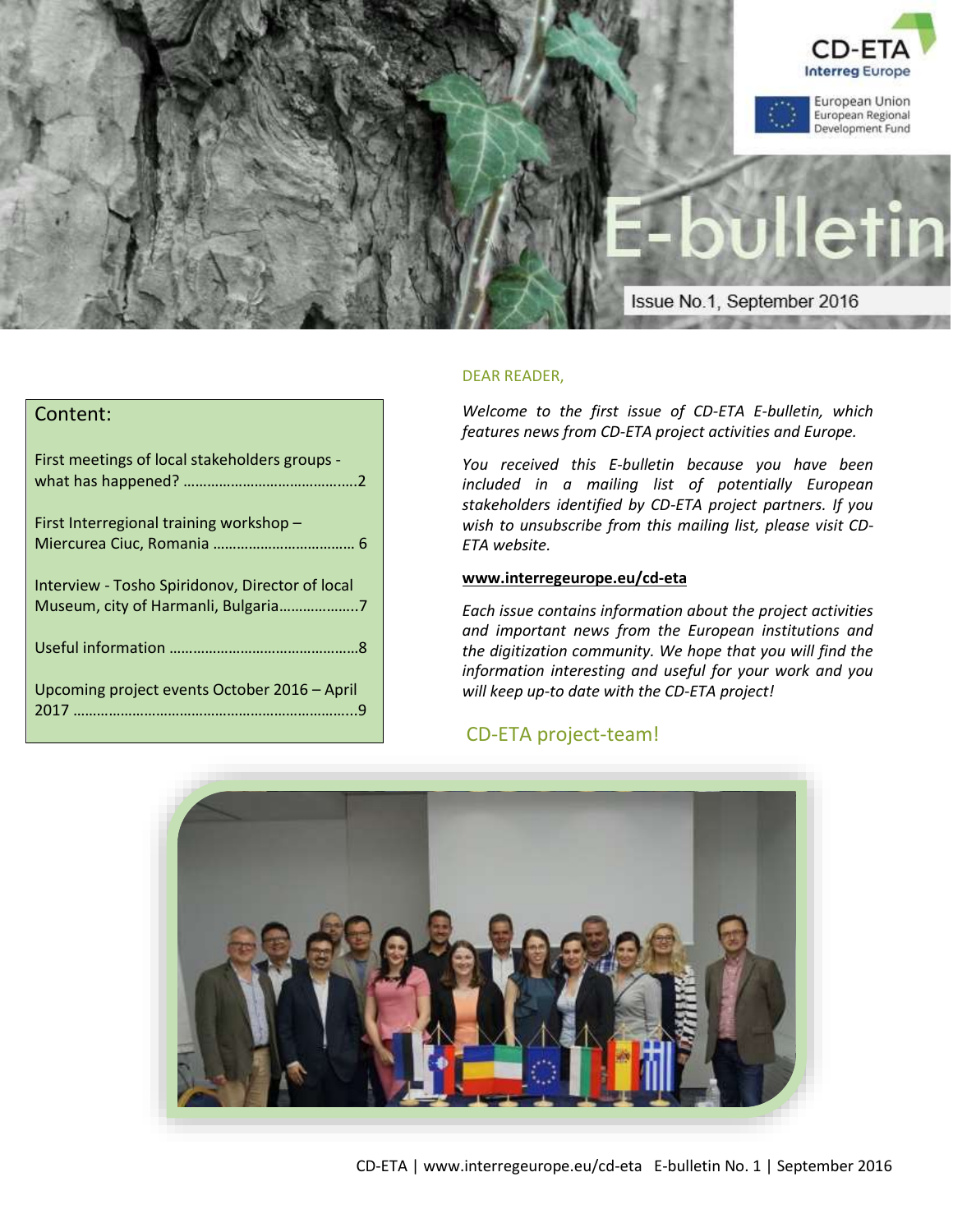

# Content:

| First meetings of local stakeholders groups -   |
|-------------------------------------------------|
| First Interregional training workshop -         |
| Interview - Tosho Spiridonov, Director of local |
|                                                 |
| Upcoming project events October 2016 - April    |

# DEAR READER,

*Welcome to the first issue of CD-ETA E-bulletin, which features news from CD-ETA project activities and Europe.* 

*You received this E-bulletin because you have been included in a mailing list of potentially European stakeholders identified by CD-ETA project partners. If you wish to unsubscribe from this mailing list, please visit CD-ETA website.*

## **[www.interregeurope.eu/](http://www.interregeurope.eu/)cd-eta**

*Each issue contains information about the project activities and important news from the European institutions and the digitization community. We hope that you will find the information interesting and useful for your work and you will keep up-to date with the CD-ETA project!*

# CD-ETA project-team!

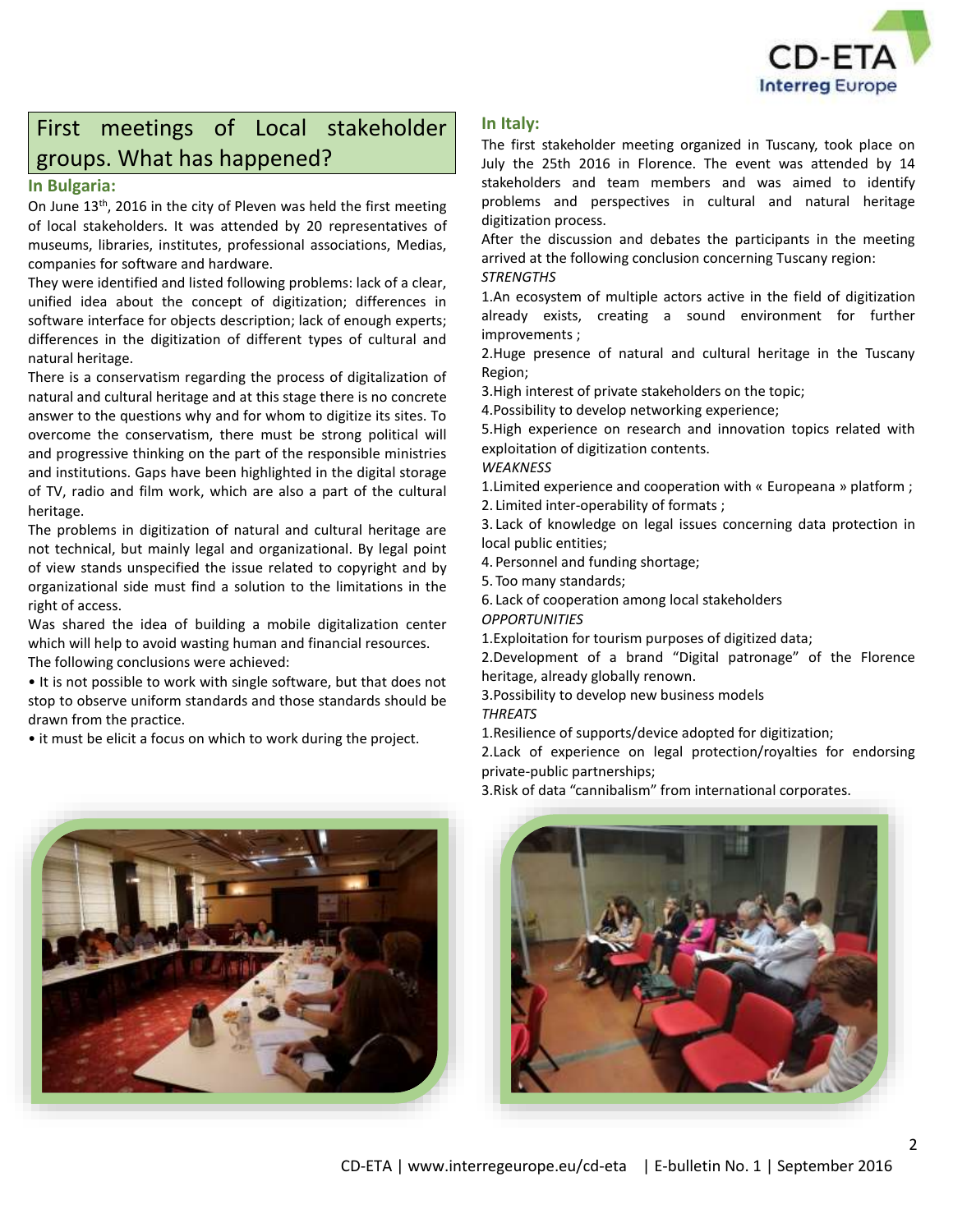

# First meetings of Local stakeholder groups. What has happened?

# **In Bulgaria:**

On June 13<sup>th</sup>, 2016 in the city of Pleven was held the first meeting of local stakeholders. It was attended by 20 representatives of museums, libraries, institutes, professional associations, Medias, companies for software and hardware.

They were identified and listed following problems: lack of a clear, unified idea about the concept of digitization; differences in software interface for objects description; lack of enough experts; differences in the digitization of different types of cultural and natural heritage.

There is a conservatism regarding the process of digitalization of natural and cultural heritage and at this stage there is no concrete answer to the questions why and for whom to digitize its sites. To overcome the conservatism, there must be strong political will and progressive thinking on the part of the responsible ministries and institutions. Gaps have been highlighted in the digital storage of TV, radio and film work, which are also a part of the cultural heritage.

The problems in digitization of natural and cultural heritage are not technical, but mainly legal and organizational. By legal point of view stands unspecified the issue related to copyright and by organizational side must find a solution to the limitations in the right of access.

Was shared the idea of building a mobile digitalization center which will help to avoid wasting human and financial resources. The following conclusions were achieved:

• It is not possible to work with single software, but that does not stop to observe uniform standards and those standards should be drawn from the practice.

• it must be elicit a focus on which to work during the project.

# **In Italy:**

The first stakeholder meeting organized in Tuscany, took place on July the 25th 2016 in Florence. The event was attended by 14 stakeholders and team members and was aimed to identify problems and perspectives in cultural and natural heritage digitization process.

After the discussion and debates the participants in the meeting arrived at the following conclusion concerning Tuscany region: *STRENGTHS*

1.An ecosystem of multiple actors active in the field of digitization already exists, creating a sound environment for further improvements ;

2.Huge presence of natural and cultural heritage in the Tuscany Region;

3.High interest of private stakeholders on the topic;

4.Possibility to develop networking experience;

5.High experience on research and innovation topics related with exploitation of digitization contents.

#### *WEAKNESS*

1.Limited experience and cooperation with « Europeana » platform ; 2. Limited inter-operability of formats ;

3. Lack of knowledge on legal issues concerning data protection in local public entities;

4. Personnel and funding shortage;

5. Too many standards;

6. Lack of cooperation among local stakeholders

*OPPORTUNITIES*

1.Exploitation for tourism purposes of digitized data;

2.Development of a brand "Digital patronage" of the Florence heritage, already globally renown.

3.Possibility to develop new business models *THREATS*

1.Resilience of supports/device adopted for digitization;

2.Lack of experience on legal protection/royalties for endorsing private-public partnerships;

3.Risk of data "cannibalism" from international corporates.



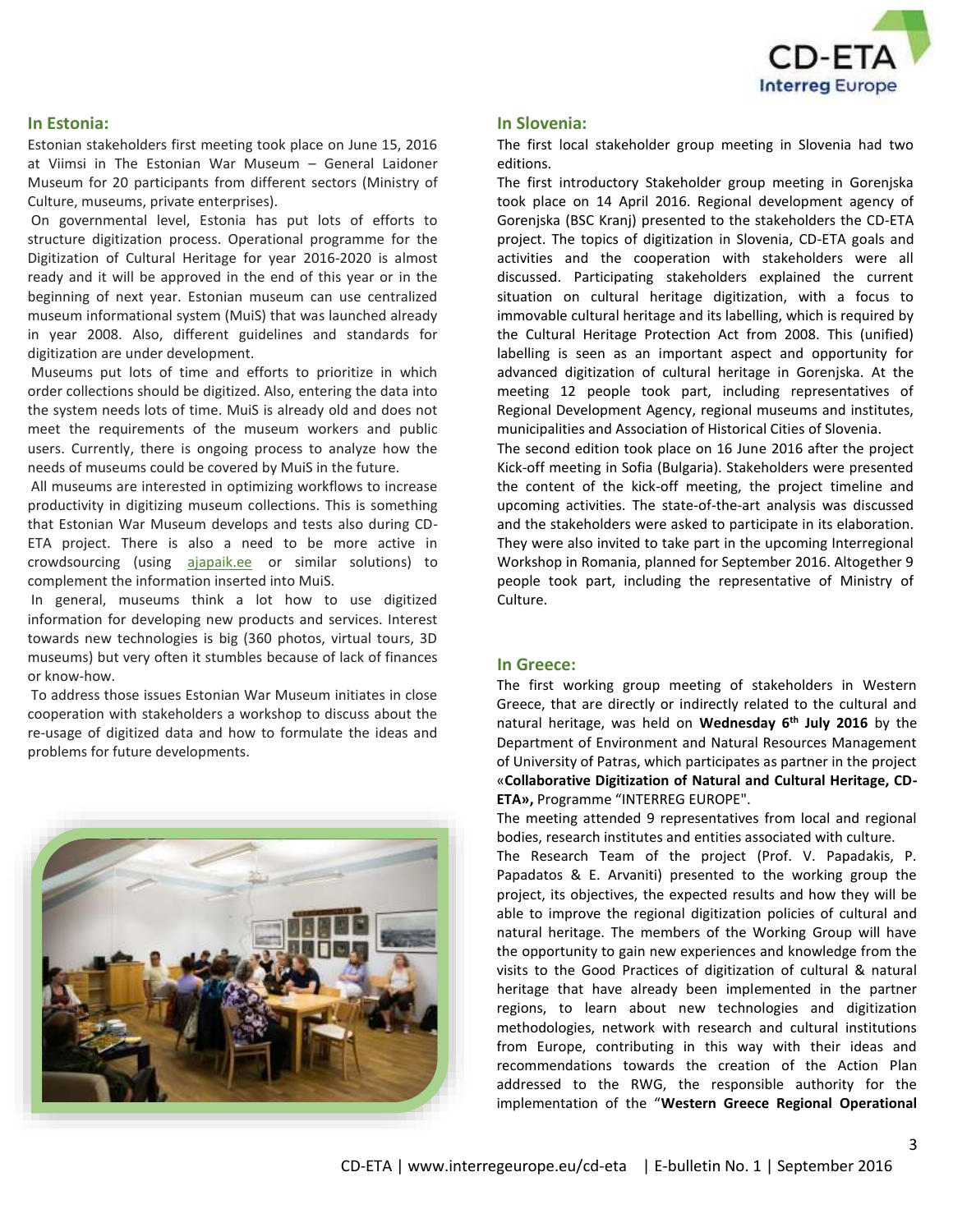

## **In Estonia:**

Estonian stakeholders first meeting took place on June 15, 2016 at Viimsi in The Estonian War Museum – General Laidoner Museum for 20 participants from different sectors (Ministry of Culture, museums, private enterprises).

On governmental level, Estonia has put lots of efforts to structure digitization process. Operational programme for the Digitization of Cultural Heritage for year 2016-2020 is almost ready and it will be approved in the end of this year or in the beginning of next year. Estonian museum can use centralized museum informational system (MuiS) that was launched already in year 2008. Also, different guidelines and standards for digitization are under development.

Museums put lots of time and efforts to prioritize in which order collections should be digitized. Also, entering the data into the system needs lots of time. MuiS is already old and does not meet the requirements of the museum workers and public users. Currently, there is ongoing process to analyze how the needs of museums could be covered by MuiS in the future.

All museums are interested in optimizing workflows to increase productivity in digitizing museum collections. This is something that Estonian War Museum develops and tests also during CD-ETA project. There is also a need to be more active in crowdsourcing (using [ajapaik.ee](http://ajapaik.ee/) or similar solutions) to complement the information inserted into MuiS.

In general, museums think a lot how to use digitized information for developing new products and services. Interest towards new technologies is big (360 photos, virtual tours, 3D museums) but very often it stumbles because of lack of finances or know-how.

To address those issues Estonian War Museum initiates in close cooperation with stakeholders a workshop to discuss about the re-usage of digitized data and how to formulate the ideas and problems for future developments.



### **In Slovenia:**

The first local stakeholder group meeting in Slovenia had two editions.

The first introductory Stakeholder group meeting in Gorenjska took place on 14 April 2016. Regional development agency of Gorenjska (BSC Kranj) presented to the stakeholders the CD-ETA project. The topics of digitization in Slovenia, CD-ETA goals and activities and the cooperation with stakeholders were all discussed. Participating stakeholders explained the current situation on cultural heritage digitization, with a focus to immovable cultural heritage and its labelling, which is required by the Cultural Heritage Protection Act from 2008. This (unified) labelling is seen as an important aspect and opportunity for advanced digitization of cultural heritage in Gorenjska. At the meeting 12 people took part, including representatives of Regional Development Agency, regional museums and institutes, municipalities and Association of Historical Cities of Slovenia.

The second edition took place on 16 June 2016 after the project Kick-off meeting in Sofia (Bulgaria). Stakeholders were presented the content of the kick-off meeting, the project timeline and upcoming activities. The state-of-the-art analysis was discussed and the stakeholders were asked to participate in its elaboration. They were also invited to take part in the upcoming Interregional Workshop in Romania, planned for September 2016. Altogether 9 people took part, including the representative of Ministry of Culture.

# **In Greece:**

The first working group meeting of stakeholders in Western Greece, that are directly or indirectly related to the cultural and natural heritage, was held on **Wednesday 6th July 2016** by the Department of Environment and Natural Resources Management of University of Patras, which participates as partner in the project «**Collaborative Digitization of Natural and Cultural Heritage, CD-ETA»,** Programme "INTERREG EUROPE".

The meeting attended 9 representatives from local and regional bodies, research institutes and entities associated with culture.

The Research Team of the project (Prof. V. Papadakis, P. Papadatos & E. Arvaniti) presented to the working group the project, its objectives, the expected results and how they will be able to improve the regional digitization policies of cultural and natural heritage. The members of the Working Group will have the opportunity to gain new experiences and knowledge from the visits to the Good Practices of digitization of cultural & natural heritage that have already been implemented in the partner regions, to learn about new technologies and digitization methodologies, network with research and cultural institutions from Europe, contributing in this way with their ideas and recommendations towards the creation of the Action Plan addressed to the RWG, the responsible authority for the implementation of the "**Western Greece Regional Operational**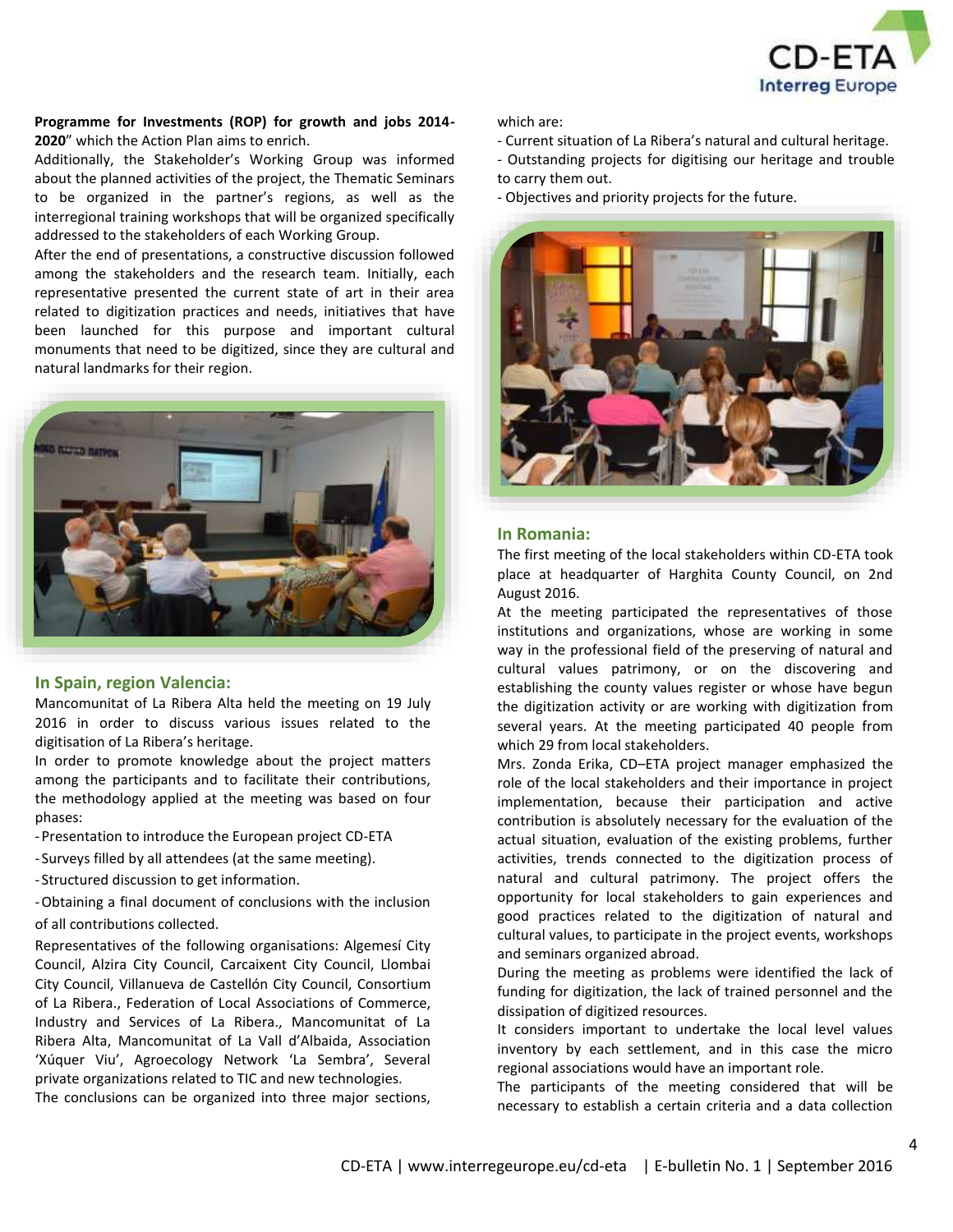

### **Programme for Investments (ROP) for growth and jobs 2014- 2020**" which the Action Plan aims to enrich.

Additionally, the Stakeholder's Working Group was informed about the planned activities of the project, the Thematic Seminars to be organized in the partner's regions, as well as the interregional training workshops that will be organized specifically addressed to the stakeholders of each Working Group.

After the end of presentations, a constructive discussion followed among the stakeholders and the research team. Initially, each representative presented the current state of art in their area related to digitization practices and needs, initiatives that have been launched for this purpose and important cultural monuments that need to be digitized, since they are cultural and natural landmarks for their region.



## **In Spain, region Valencia:**

Mancomunitat of La Ribera Alta held the meeting on 19 July 2016 in order to discuss various issues related to the digitisation of La Ribera's heritage.

In order to promote knowledge about the project matters among the participants and to facilitate their contributions, the methodology applied at the meeting was based on four phases:

- -Presentation to introduce the European project CD-ETA
- Surveys filled by all attendees (at the same meeting).
- Structured discussion to get information.

-Obtaining a final document of conclusions with the inclusion of all contributions collected.

Representatives of the following organisations: Algemesí City Council, Alzira City Council, Carcaixent City Council, Llombai City Council, Villanueva de Castellón City Council, Consortium of La Ribera., Federation of Local Associations of Commerce, Industry and Services of La Ribera., Mancomunitat of La Ribera Alta, Mancomunitat of La Vall d'Albaida, Association 'Xúquer Viu', Agroecology Network 'La Sembra', Several private organizations related to TIC and new technologies.

The conclusions can be organized into three major sections,

which are:

- Current situation of La Ribera's natural and cultural heritage.
- Outstanding projects for digitising our heritage and trouble to carry them out.
- Objectives and priority projects for the future.



#### **In Romania:**

The first meeting of the local stakeholders within CD-ETA took place at headquarter of Harghita County Council, on 2nd August 2016.

At the meeting participated the representatives of those institutions and organizations, whose are working in some way in the professional field of the preserving of natural and cultural values patrimony, or on the discovering and establishing the county values register or whose have begun the digitization activity or are working with digitization from several years. At the meeting participated 40 people from which 29 from local stakeholders.

Mrs. Zonda Erika, CD–ETA project manager emphasized the role of the local stakeholders and their importance in project implementation, because their participation and active contribution is absolutely necessary for the evaluation of the actual situation, evaluation of the existing problems, further activities, trends connected to the digitization process of natural and cultural patrimony. The project offers the opportunity for local stakeholders to gain experiences and good practices related to the digitization of natural and cultural values, to participate in the project events, workshops and seminars organized abroad.

During the meeting as problems were identified the lack of funding for digitization, the lack of trained personnel and the dissipation of digitized resources.

It considers important to undertake the local level values inventory by each settlement, and in this case the micro regional associations would have an important role.

The participants of the meeting considered that will be necessary to establish a certain criteria and a data collection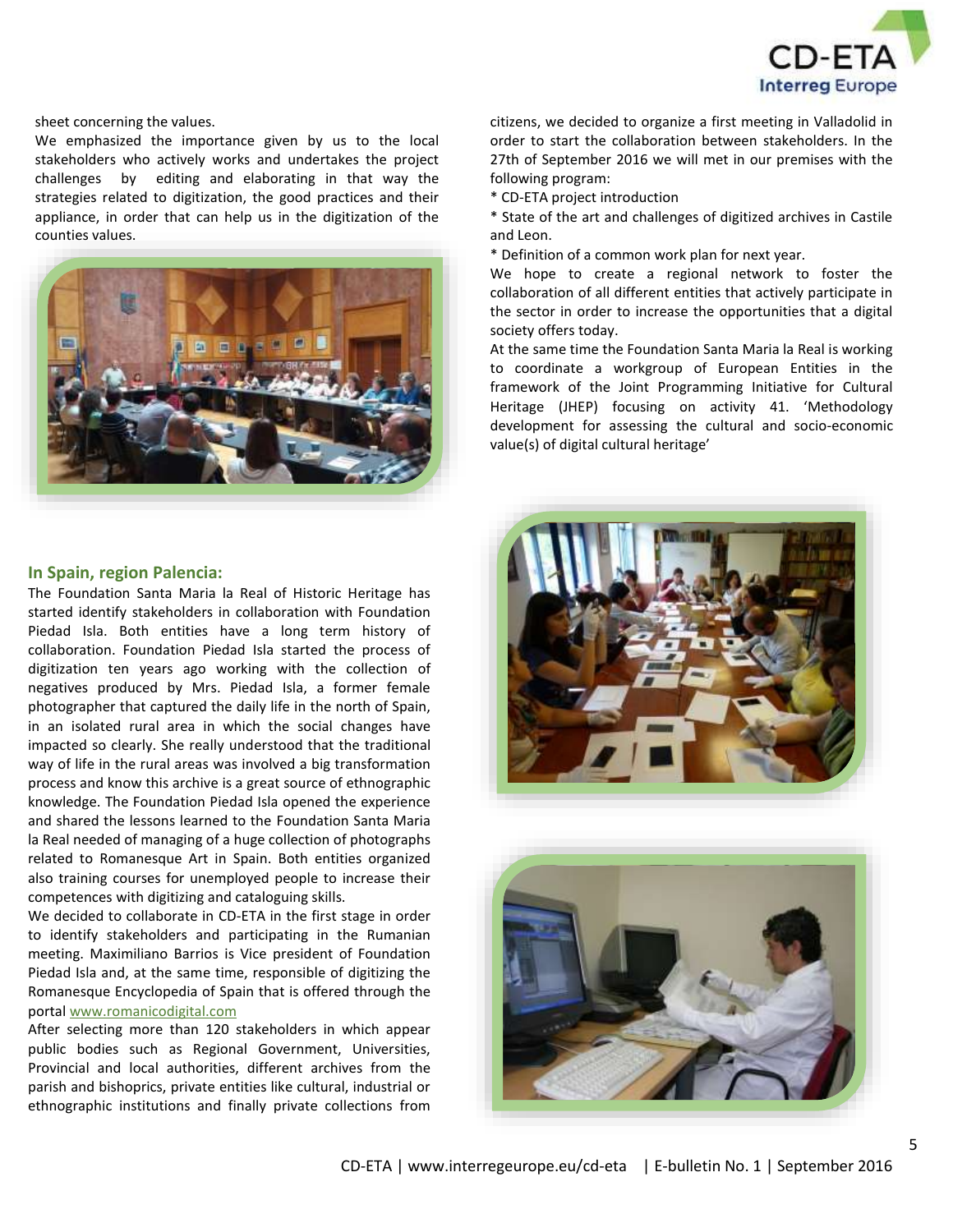

sheet concerning the values.

We emphasized the importance given by us to the local stakeholders who actively works and undertakes the project challenges by editing and elaborating in that way the strategies related to digitization, the good practices and their appliance, in order that can help us in the digitization of the counties values.



## **In Spain, region Palencia:**

The Foundation Santa Maria la Real of Historic Heritage has started identify stakeholders in collaboration with Foundation Piedad Isla. Both entities have a long term history of collaboration. Foundation Piedad Isla started the process of digitization ten years ago working with the collection of negatives produced by Mrs. Piedad Isla, a former female photographer that captured the daily life in the north of Spain, in an isolated rural area in which the social changes have impacted so clearly. She really understood that the traditional way of life in the rural areas was involved a big transformation process and know this archive is a great source of ethnographic knowledge. The Foundation Piedad Isla opened the experience and shared the lessons learned to the Foundation Santa Maria la Real needed of managing of a huge collection of photographs related to Romanesque Art in Spain. Both entities organized also training courses for unemployed people to increase their competences with digitizing and cataloguing skills.

We decided to collaborate in CD-ETA in the first stage in order to identify stakeholders and participating in the Rumanian meeting. Maximiliano Barrios is Vice president of Foundation Piedad Isla and, at the same time, responsible of digitizing the Romanesque Encyclopedia of Spain that is offered through the porta[l www.romanicodigital.com](http://www.romanicodigital.com/)

After selecting more than 120 stakeholders in which appear public bodies such as Regional Government, Universities, Provincial and local authorities, different archives from the parish and bishoprics, private entities like cultural, industrial or ethnographic institutions and finally private collections from

citizens, we decided to organize a first meeting in Valladolid in order to start the collaboration between stakeholders. In the 27th of September 2016 we will met in our premises with the following program:

- \* CD-ETA project introduction
- \* State of the art and challenges of digitized archives in Castile and Leon.
- \* Definition of a common work plan for next year.

We hope to create a regional network to foster the collaboration of all different entities that actively participate in the sector in order to increase the opportunities that a digital society offers today.

At the same time the Foundation Santa Maria la Real is working to coordinate a workgroup of European Entities in the framework of the Joint Programming Initiative for Cultural Heritage (JHEP) focusing on activity 41. 'Methodology development for assessing the cultural and socio-economic value(s) of digital cultural heritage'



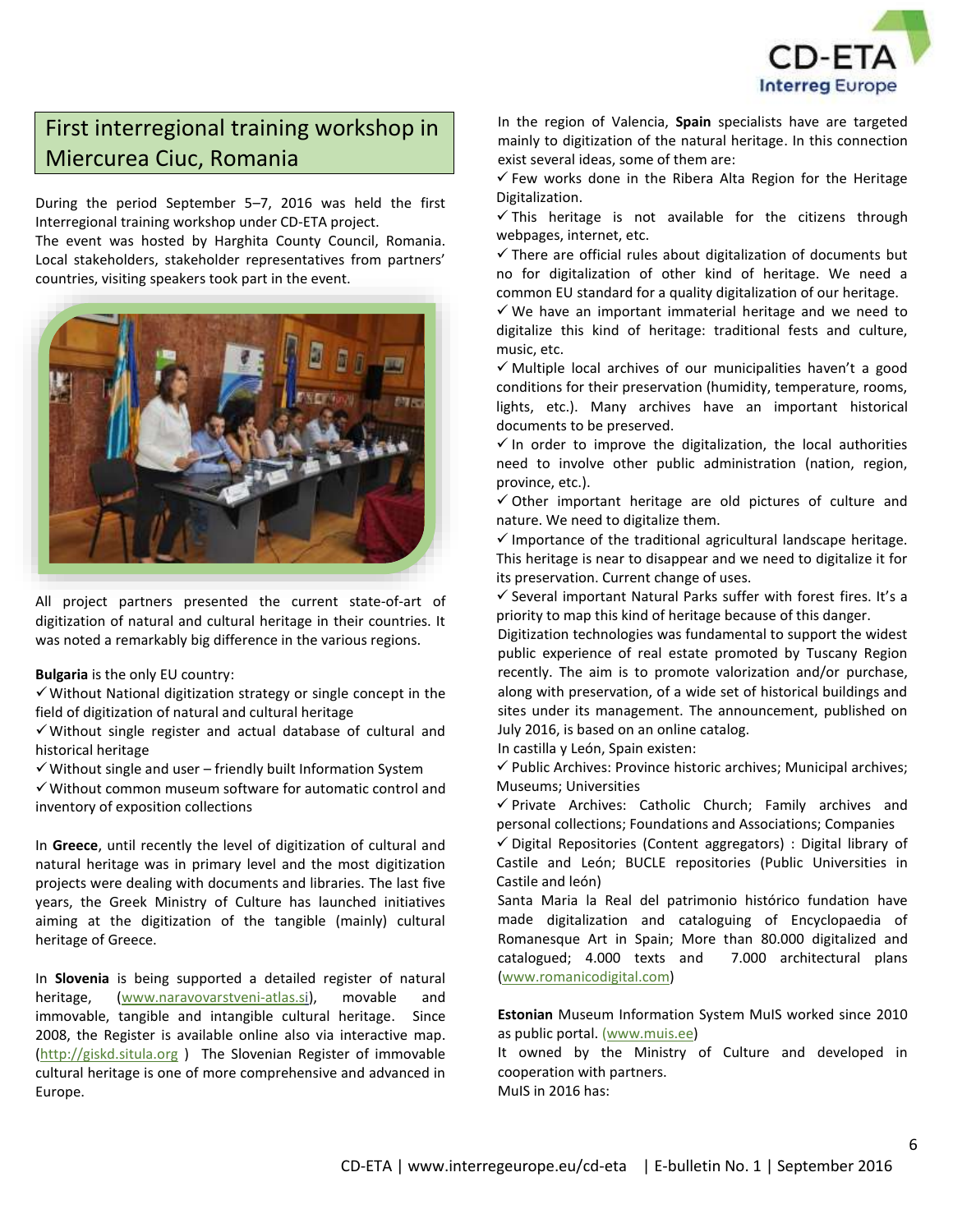

# First interregional training workshop in Miercurea Ciuc, Romania

During the period September 5–7, 2016 was held the first Interregional training workshop under CD-ETA project.

The event was hosted by Harghita County Council, Romania. Local stakeholders, stakeholder representatives from partners' countries, visiting speakers took part in the event.



All project partners presented the current state-of-art of digitization of natural and cultural heritage in their countries. It was noted a remarkably big difference in the various regions.

**Bulgaria** is the only EU country:

 $\checkmark$  Without National digitization strategy or single concept in the field of digitization of natural and cultural heritage

 $\checkmark$  Without single register and actual database of cultural and historical heritage

 $\checkmark$  Without single and user – friendly built Information System

 $\checkmark$  Without common museum software for automatic control and inventory of exposition collections

In **Greece**, until recently the level of digitization of cultural and natural heritage was in primary level and the most digitization projects were dealing with documents and libraries. The last five years, the Greek Ministry of Culture has launched initiatives aiming at the digitization of the tangible (mainly) cultural heritage of Greece.

In **Slovenia** is being supported a detailed register of natural heritage, [\(www.naravovarstveni-atlas.si\)](www.naravovarstveni-atlas.si), movable and immovable, tangible and intangible cultural heritage. Since 2008, the Register is available online also via interactive map. [\(http://giskd.situla.org](http://giskd.situla.org/) ) The Slovenian Register of immovable cultural heritage is one of more comprehensive and advanced in Europe.

In the region of Valencia, **Spain** specialists have are targeted mainly to digitization of the natural heritage. In this connection exist several ideas, some of them are:

 $\checkmark$  Few works done in the Ribera Alta Region for the Heritage Digitalization.

 $\checkmark$  This heritage is not available for the citizens through webpages, internet, etc.

 $\checkmark$  There are official rules about digitalization of documents but no for digitalization of other kind of heritage. We need a common EU standard for a quality digitalization of our heritage.

 $\checkmark$  We have an important immaterial heritage and we need to digitalize this kind of heritage: traditional fests and culture, music, etc.

 $\checkmark$  Multiple local archives of our municipalities haven't a good conditions for their preservation (humidity, temperature, rooms, lights, etc.). Many archives have an important historical documents to be preserved.

 $\checkmark$  In order to improve the digitalization, the local authorities need to involve other public administration (nation, region, province, etc.).

 $\checkmark$  Other important heritage are old pictures of culture and nature. We need to digitalize them.

 $\checkmark$  Importance of the traditional agricultural landscape heritage. This heritage is near to disappear and we need to digitalize it for its preservation. Current change of uses.

 $\checkmark$  Several important Natural Parks suffer with forest fires. It's a priority to map this kind of heritage because of this danger.

Digitization technologies was fundamental to support the widest public experience of real estate promoted by Tuscany Region recently. The aim is to promote valorization and/or purchase, along with preservation, of a wide set of historical buildings and sites under its management. The announcement, published on July 2016, is based on an online catalog.

In castilla y León, Spain existen:

 $\checkmark$  Public Archives: Province historic archives; Municipal archives; Museums; Universities

 $\checkmark$  Private Archives: Catholic Church; Family archives and personal collections; Foundations and Associations; Companies

 $\checkmark$  Digital Repositories (Content aggregators) : Digital library of Castile and León; BUCLE repositories (Public Universities in Castile and león)

Santa Maria la Real del patrimonio histórico fundation have made digitalization and cataloguing of Encyclopaedia of Romanesque Art in Spain; More than 80.000 digitalized and catalogued; 4.000 texts and 7.000 architectural plans [\(www.romanicodigital.com\)](http://www.romanicodigital.com/)

**Estonian** Museum Information System MuIS worked since 2010 as public portal. [\(www.muis.ee\)](www.muis.ee)

It owned by the Ministry of Culture and developed in cooperation with partners. MuIS in 2016 has: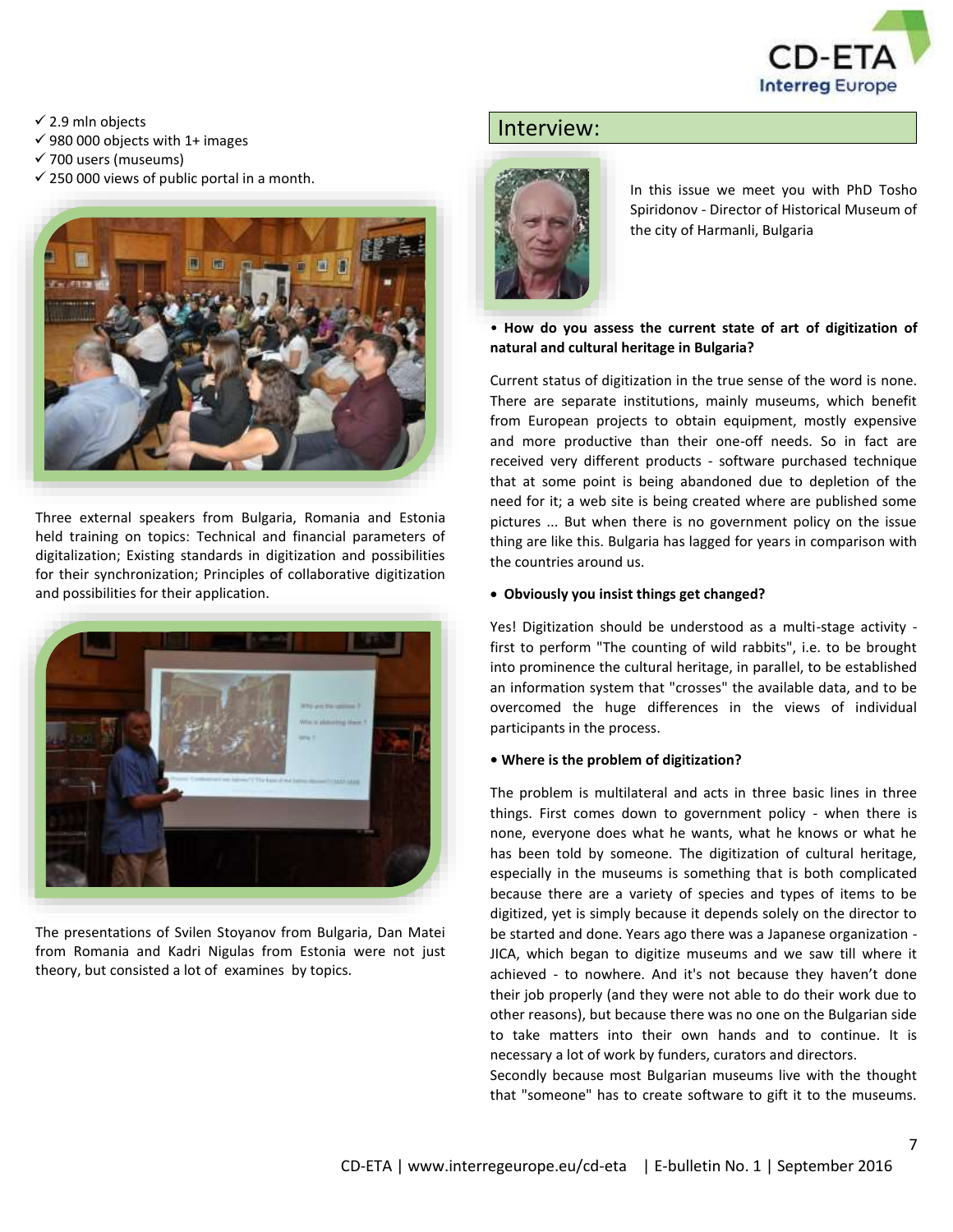

 $\checkmark$  2.9 mln objects

- $√$  980 000 objects with 1+ images
- $\checkmark$  700 users (museums)
- $\checkmark$  250 000 views of public portal in a month.



Three external speakers from Bulgaria, Romania and Estonia held training on topics: Technical and financial parameters of digitalization; Existing standards in digitization and possibilities for their synchronization; Principles of collaborative digitization and possibilities for their application.



The presentations of Svilen Stoyanov from Bulgaria, Dan Matei from Romania and Kadri Nigulas from Estonia were not just theory, but consisted a lot of examines by topics.

# Interview:



In this issue we meet you with PhD Tosho Spiridonov - Director of Historical Museum of the city of Harmanli, Bulgaria

# • **How do you assess the current state of art of digitization of natural and cultural heritage in Bulgaria?**

Current status of digitization in the true sense of the word is none. There are separate institutions, mainly museums, which benefit from European projects to obtain equipment, mostly expensive and more productive than their one-off needs. So in fact are received very different products - software purchased technique that at some point is being abandoned due to depletion of the need for it; a web site is being created where are published some pictures ... But when there is no government policy on the issue thing are like this. Bulgaria has lagged for years in comparison with the countries around us.

## **Obviously you insist things get changed?**

Yes! Digitization should be understood as a multi-stage activity first to perform "The counting of wild rabbits", i.e. to be brought into prominence the cultural heritage, in parallel, to be established an information system that "crosses" the available data, and to be overcomed the huge differences in the views of individual participants in the process.

# **• Where is the problem of digitization?**

The problem is multilateral and acts in three basic lines in three things. First comes down to government policy - when there is none, everyone does what he wants, what he knows or what he has been told by someone. The digitization of cultural heritage, especially in the museums is something that is both complicated because there are a variety of species and types of items to be digitized, yet is simply because it depends solely on the director to be started and done. Years ago there was a Japanese organization - JICA, which began to digitize museums and we saw till where it achieved - to nowhere. And it's not because they haven't done their job properly (and they were not able to do their work due to other reasons), but because there was no one on the Bulgarian side to take matters into their own hands and to continue. It is necessary a lot of work by funders, curators and directors.

Secondly because most Bulgarian museums live with the thought that "someone" has to create software to gift it to the museums.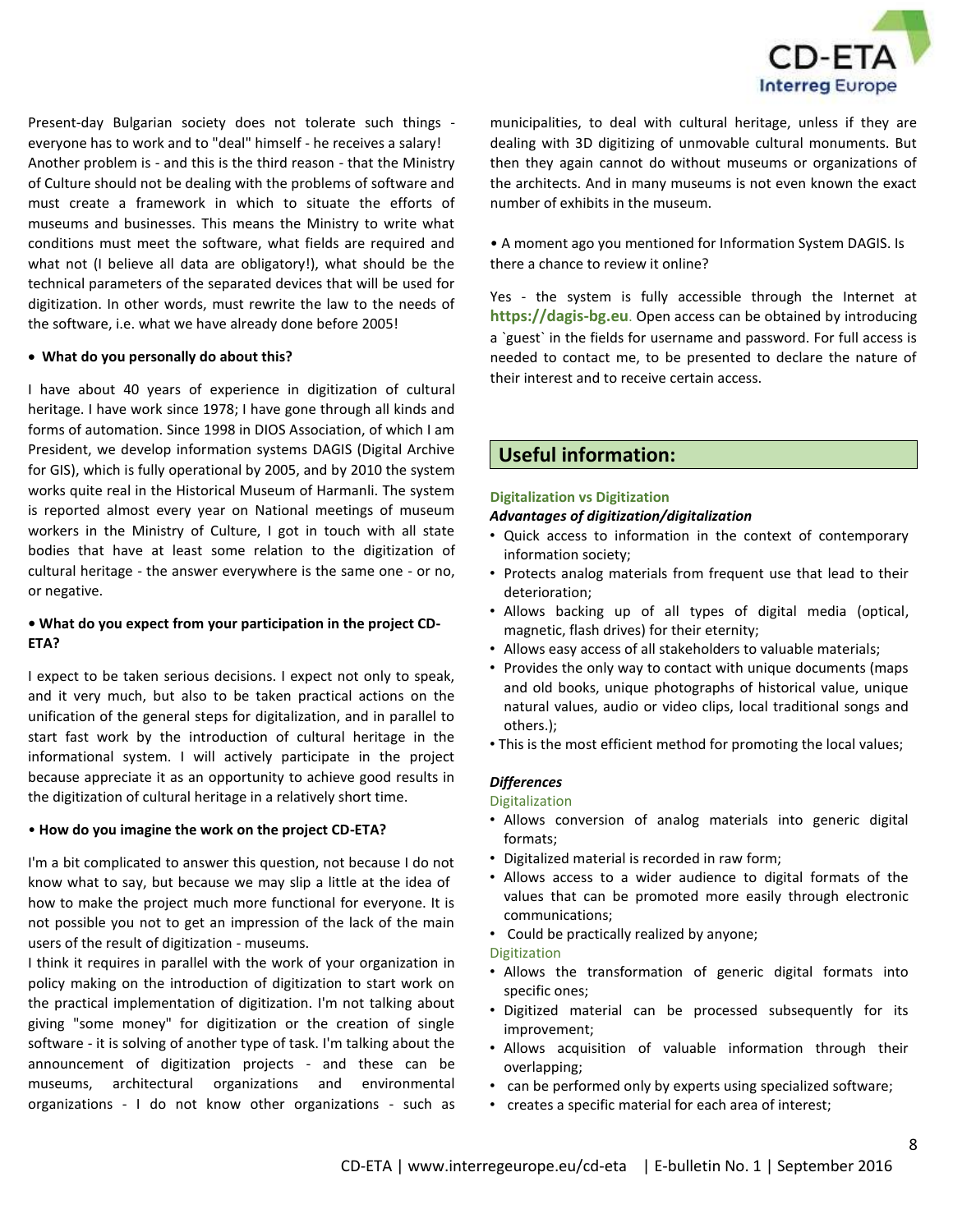

Present-day Bulgarian society does not tolerate such things everyone has to work and to "deal" himself - he receives a salary! Another problem is - and this is the third reason - that the Ministry of Culture should not be dealing with the problems of software and must create a framework in which to situate the efforts of museums and businesses. This means the Ministry to write what conditions must meet the software, what fields are required and what not (I believe all data are obligatory!), what should be the technical parameters of the separated devices that will be used for digitization. In other words, must rewrite the law to the needs of the software, i.e. what we have already done before 2005!

#### **What do you personally do about this?**

I have about 40 years of experience in digitization of cultural heritage. I have work since 1978; I have gone through all kinds and forms of automation. Since 1998 in DIOS Association, of which I am President, we develop information systems DAGIS (Digital Archive for GIS), which is fully operational by 2005, and by 2010 the system works quite real in the Historical Museum of Harmanli. The system is reported almost every year on National meetings of museum workers in the Ministry of Culture, I got in touch with all state bodies that have at least some relation to the digitization of cultural heritage - the answer everywhere is the same one - or no, or negative.

# **• What do you expect from your participation in the project CD-ETA?**

I expect to be taken serious decisions. I expect not only to speak, and it very much, but also to be taken practical actions on the unification of the general steps for digitalization, and in parallel to start fast work by the introduction of cultural heritage in the informational system. I will actively participate in the project because appreciate it as an opportunity to achieve good results in the digitization of cultural heritage in a relatively short time.

#### • **How do you imagine the work on the project CD-ETA?**

I'm a bit complicated to answer this question, not because I do not know what to say, but because we may slip a little at the idea of how to make the project much more functional for everyone. It is not possible you not to get an impression of the lack of the main users of the result of digitization - museums.

I think it requires in parallel with the work of your organization in policy making on the introduction of digitization to start work on the practical implementation of digitization. I'm not talking about giving "some money" for digitization or the creation of single software - it is solving of another type of task. I'm talking about the announcement of digitization projects - and these can be museums, architectural organizations and environmental organizations - I do not know other organizations - such as municipalities, to deal with cultural heritage, unless if they are dealing with 3D digitizing of unmovable cultural monuments. But then they again cannot do without museums or organizations of the architects. And in many museums is not even known the exact number of exhibits in the museum.

• A moment ago you mentioned for Information System DAGIS. Is there a chance to review it online?

Yes - the system is fully accessible through the Internet at **[https://dagis-bg.eu](https://dagis-bg.eu/)**. Open access can be obtained by introducing a `guest` in the fields for username and password. For full access is needed to contact me, to be presented to declare the nature of their interest and to receive certain access.

# **Useful information:**

### **Digitalization vs Digitization**

### *Advantages of digitization/digitalization*

- Quick access to information in the context of contemporary information society;
- Protects analog materials from frequent use that lead to their deterioration;
- Allows backing up of all types of digital media (optical, magnetic, flash drives) for their eternity;
- Allows easy access of all stakeholders to valuable materials;
- Provides the only way to contact with unique documents (maps and old books, unique photographs of historical value, unique natural values, audio or video clips, local traditional songs and others.);
- This is the most efficient method for promoting the local values;

### *Differences*

#### Digitalization

- Allows conversion of analog materials into generic digital formats;
- Digitalized material is recorded in raw form;
- Allows access to a wider audience to digital formats of the values that can be promoted more easily through electronic communications;
- Could be practically realized by anyone;

#### Digitization

- Allows the transformation of generic digital formats into specific ones;
- Digitized material can be processed subsequently for its improvement;
- Allows acquisition of valuable information through their overlapping;
- can be performed only by experts using specialized software;
- creates a specific material for each area of interest;